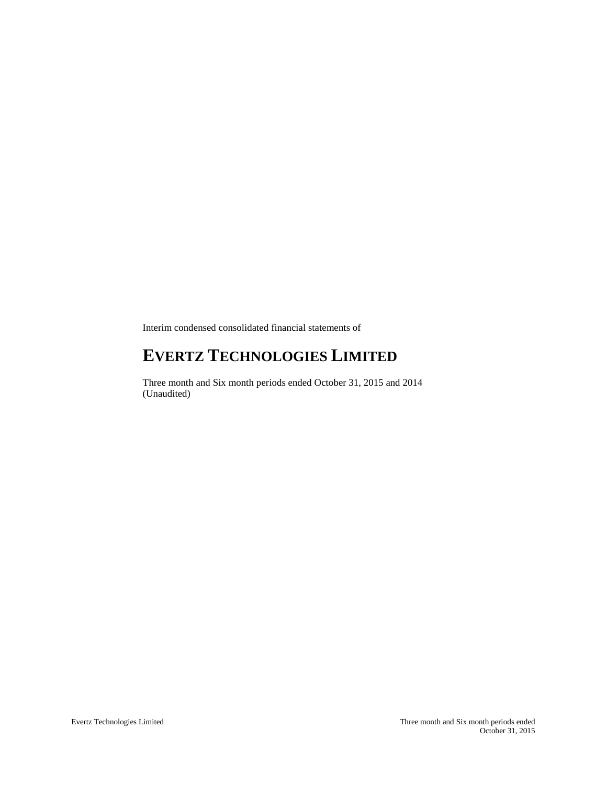Interim condensed consolidated financial statements of

# **EVERTZ TECHNOLOGIES LIMITED**

Three month and Six month periods ended October 31, 2015 and 2014 (Unaudited)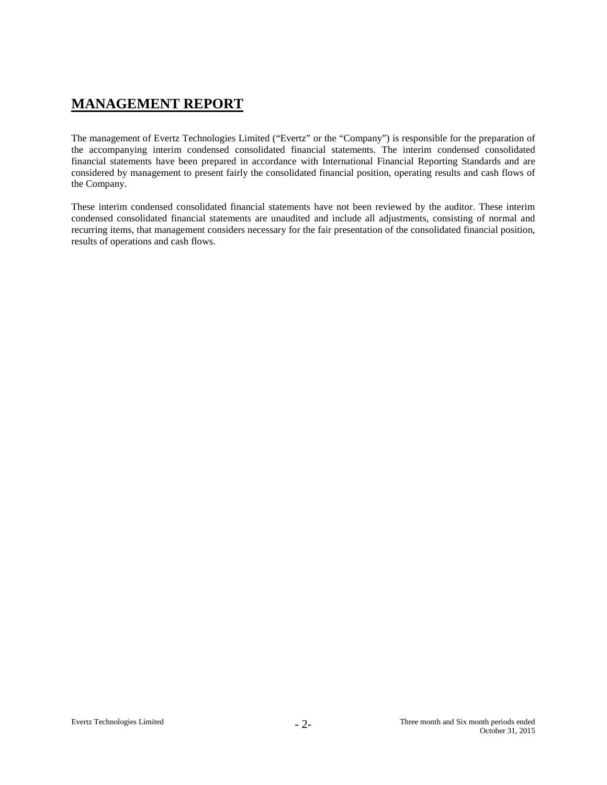# **MANAGEMENT REPORT**

The management of Evertz Technologies Limited ("Evertz" or the "Company") is responsible for the preparation of the accompanying interim condensed consolidated financial statements. The interim condensed consolidated financial statements have been prepared in accordance with International Financial Reporting Standards and are considered by management to present fairly the consolidated financial position, operating results and cash flows of the Company.

These interim condensed consolidated financial statements have not been reviewed by the auditor. These interim condensed consolidated financial statements are unaudited and include all adjustments, consisting of normal and recurring items, that management considers necessary for the fair presentation of the consolidated financial position, results of operations and cash flows.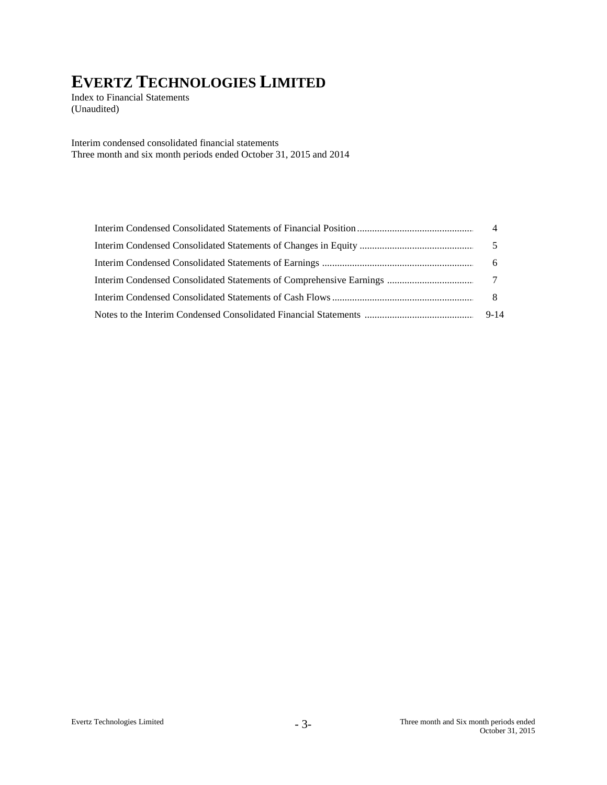Index to Financial Statements (Unaudited)

Interim condensed consolidated financial statements Three month and six month periods ended October 31, 2015 and 2014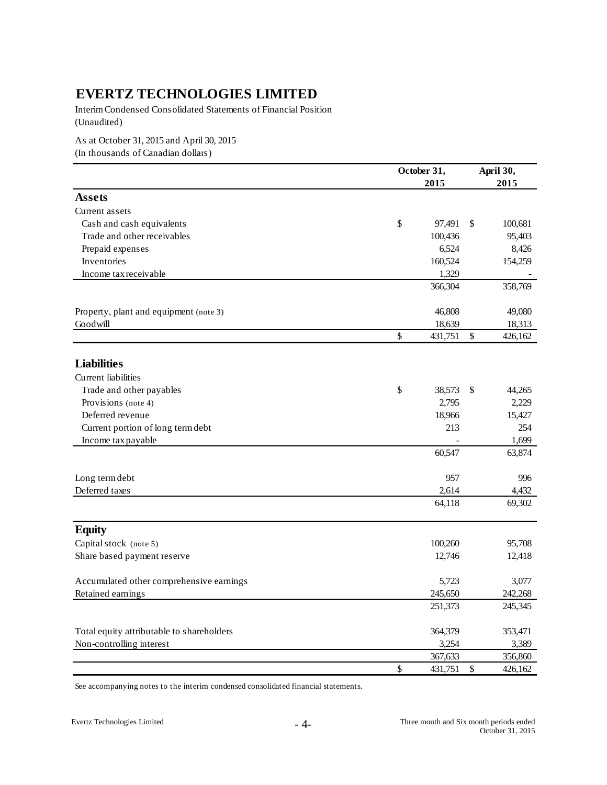Interim Condensed Consolidated Statements of Financial Position (Unaudited)

As at October 31, 2015 and April 30, 2015 (In thousands of Canadian dollars)

|                                           |                           | October 31, |               | April 30, |
|-------------------------------------------|---------------------------|-------------|---------------|-----------|
|                                           |                           | 2015        |               | 2015      |
| <b>Assets</b>                             |                           |             |               |           |
| Current assets                            |                           |             |               |           |
| Cash and cash equivalents                 | $\boldsymbol{\mathsf{S}}$ | 97,491      | \$            | 100,681   |
| Trade and other receivables               |                           | 100,436     |               | 95,403    |
| Prepaid expenses                          |                           | 6,524       |               | 8,426     |
| Inventories                               |                           | 160,524     |               | 154,259   |
| Income tax receivable                     |                           | 1,329       |               |           |
|                                           |                           | 366,304     |               | 358,769   |
| Property, plant and equipment (note 3)    |                           | 46,808      |               | 49,080    |
| Goodwill                                  |                           | 18,639      |               | 18,313    |
|                                           | $\$$                      | 431,751     | \$            | 426,162   |
| <b>Liabilities</b>                        |                           |             |               |           |
| <b>Current</b> liabilities                |                           |             |               |           |
| Trade and other payables                  | \$                        | 38,573      | <sup>\$</sup> | 44,265    |
| Provisions (note 4)                       |                           | 2,795       |               | 2,229     |
| Deferred revenue                          |                           | 18,966      |               | 15,427    |
| Current portion of long term debt         |                           | 213         |               | 254       |
| Income tax payable                        |                           |             |               | 1,699     |
|                                           |                           | 60,547      |               | 63,874    |
|                                           |                           |             |               |           |
| Long term debt                            |                           | 957         |               | 996       |
| Deferred taxes                            |                           | 2,614       |               | 4,432     |
|                                           |                           | 64,118      |               | 69,302    |
| <b>Equity</b>                             |                           |             |               |           |
| Capital stock (note 5)                    |                           | 100,260     |               | 95,708    |
| Share based payment reserve               |                           | 12,746      |               | 12,418    |
| Accumulated other comprehensive earnings  |                           | 5,723       |               | 3,077     |
| Retained earnings                         |                           | 245,650     |               | 242,268   |
|                                           |                           | 251,373     |               | 245,345   |
| Total equity attributable to shareholders |                           | 364,379     |               | 353,471   |
| Non-controlling interest                  |                           | 3,254       |               | 3,389     |
|                                           |                           | 367,633     |               | 356,860   |
|                                           | $\boldsymbol{\mathsf{S}}$ | 431,751     | \$            | 426,162   |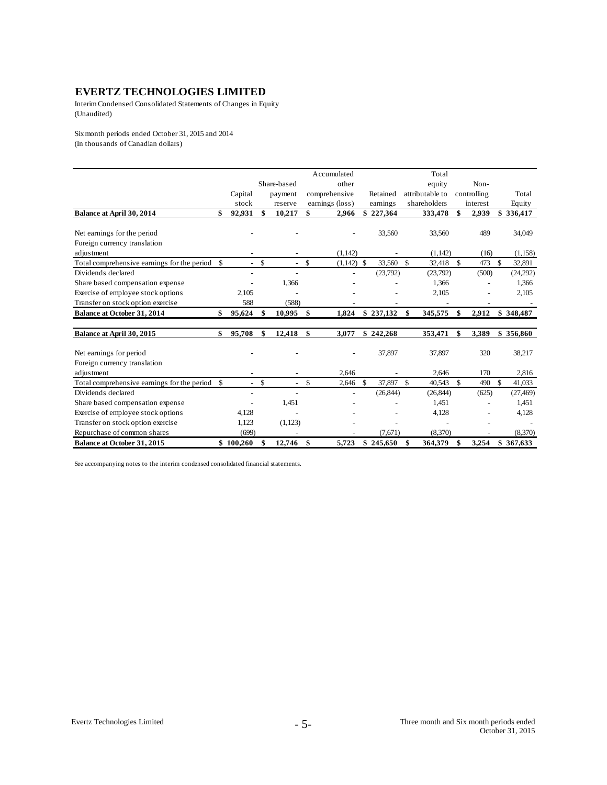Interim Condensed Consolidated Statements of Changes in Equity (Unaudited)

Six month periods ended October 31, 2015 and 2014 (In thousands of Canadian dollars)

|                                                                      |              |               |                |               | Accumulated     |              |               | Total           |              |             |               |
|----------------------------------------------------------------------|--------------|---------------|----------------|---------------|-----------------|--------------|---------------|-----------------|--------------|-------------|---------------|
|                                                                      |              |               | Share-based    |               | other           |              |               | equity          |              | Non-        |               |
|                                                                      | Capital      |               | payment        |               | comprehensive   | Retained     |               | attributable to |              | controlling | Total         |
|                                                                      | stock        |               | reserve        |               | earnings (loss) | earnings     |               | shareholders    |              | interest    | Equity        |
| Balance at April 30, 2014                                            | \$<br>92,931 |               | 10,217         | \$            | 2,966           | \$227,364    |               | 333,478         | \$           | 2,939       | \$<br>336,417 |
|                                                                      |              |               |                |               |                 |              |               |                 |              | 489         |               |
| Net earnings for the period                                          |              |               |                |               |                 | 33,560       |               | 33,560          |              |             | 34,049        |
| Foreign currency translation                                         |              |               |                |               |                 |              |               |                 |              |             |               |
| adjustment                                                           |              | \$            |                | \$            | (1,142)         | 33,560       | $\mathcal{S}$ | (1, 142)        |              | (16)<br>473 | \$<br>(1,158) |
| Total comprehensive earnings for the period \$<br>Dividends declared | $\sim$       |               | ÷.             |               | $(1,142)$ \$    |              |               | 32,418          | S.           |             | 32,891        |
|                                                                      |              |               | $\overline{a}$ |               |                 | (23,792)     |               | (23,792)        |              | (500)       | (24,292)      |
| Share based compensation expense                                     |              |               | 1,366          |               |                 |              |               | 1,366           |              |             | 1,366         |
| Exercise of employee stock options                                   | 2,105        |               |                |               |                 |              |               | 2,105           |              |             | 2,105         |
| Transfer on stock option exercise                                    | 588          |               | (588)          |               |                 |              |               |                 |              |             |               |
| Balance at October 31, 2014                                          | \$<br>95,624 | \$            | 10,995         | \$            | 1,824           | \$237,132    | \$            | 345,575         | \$           | 2,912       | \$348,487     |
| Balance at April 30, 2015                                            | \$<br>95,708 | \$            | 12,418         | \$            | 3,077           | \$242,268    |               | 353,471         | \$           | 3,389       | \$356,860     |
|                                                                      |              |               |                |               |                 |              |               |                 |              |             |               |
| Net earnings for period                                              |              |               |                |               |                 | 37,897       |               | 37,897          |              | 320         | 38,217        |
| Foreign currency translation                                         |              |               |                |               |                 |              |               |                 |              |             |               |
| adjustment                                                           | $\sim$       |               |                |               | 2,646           |              |               | 2,646           |              | 170         | 2,816         |
| Total comprehensive earnings for the period \$                       | $\sim$       | <sup>\$</sup> | ÷.             | $\mathcal{S}$ | 2,646           | \$<br>37,897 | $\mathcal{S}$ | 40,543          | $\mathbb{S}$ | 490         | \$<br>41,033  |
| Dividends declared                                                   |              |               |                |               |                 | (26, 844)    |               | (26, 844)       |              | (625)       | (27, 469)     |
| Share based compensation expense                                     |              |               | 1,451          |               |                 |              |               | 1,451           |              |             | 1,451         |
| Exercise of employee stock options                                   | 4,128        |               |                |               |                 |              |               | 4,128           |              |             | 4,128         |
| Transfer on stock option exercise                                    | 1,123        |               | (1,123)        |               |                 |              |               |                 |              |             |               |
| Repurchase of common shares                                          | (699)        |               |                |               |                 | (7,671)      |               | (8,370)         |              |             | (8,370)       |
| <b>Balance at October 31, 2015</b>                                   | \$100,260    | \$            | 12,746         | \$            | 5,723           | \$245,650    | \$            | 364,379         | \$           | 3,254       | \$367,633     |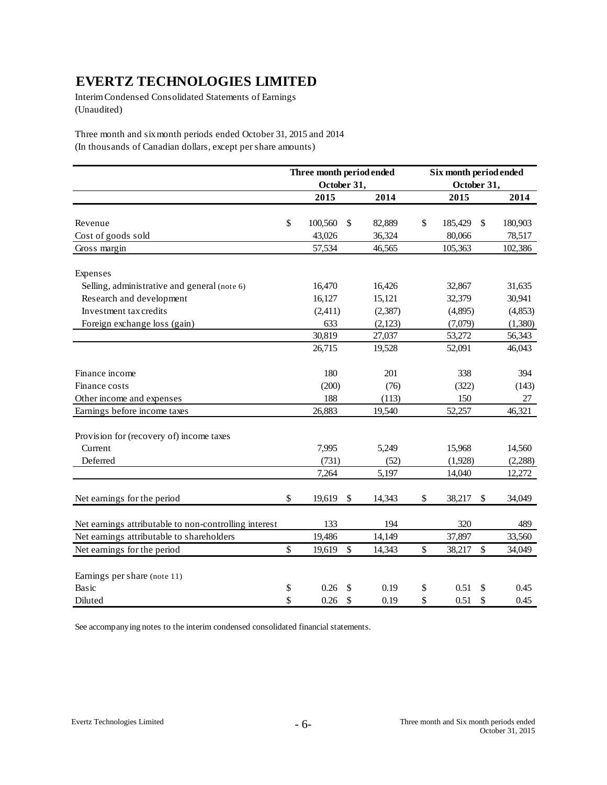Interim Condensed Consolidated Statements of Earnings (Unaudited)

Three month and six month periods ended October 31, 2015 and 2014 (In thousands of Canadian dollars, except per share amounts)

|                                                       |      | Three month period ended |    |         |      | Six month period ended |                           |          |
|-------------------------------------------------------|------|--------------------------|----|---------|------|------------------------|---------------------------|----------|
|                                                       |      | October 31,              |    |         |      | October 31,            |                           |          |
|                                                       |      | 2015                     |    | 2014    |      | 2015                   |                           | 2014     |
|                                                       |      |                          |    |         |      |                        |                           |          |
| Revenue                                               | \$   | 100,560                  | \$ | 82,889  | \$   | 185,429                | $\mathbb{S}$              | 180,903  |
| Cost of goods sold                                    |      | 43,026                   |    | 36,324  |      | 80,066                 |                           | 78,517   |
| Gross margin                                          |      | 57,534                   |    | 46,565  |      | 105,363                |                           | 102,386  |
| Expenses                                              |      |                          |    |         |      |                        |                           |          |
| Selling, administrative and general (note 6)          |      | 16,470                   |    | 16,426  |      | 32,867                 |                           | 31,635   |
| Research and development                              |      | 16,127                   |    | 15,121  |      | 32,379                 |                           | 30,941   |
| Investment tax credits                                |      | (2,411)                  |    | (2,387) |      | (4,895)                |                           | (4, 853) |
| Foreign exchange loss (gain)                          |      | 633                      |    | (2,123) |      | (7,079)                |                           | (1,380)  |
|                                                       |      | 30,819                   |    | 27,037  |      | 53,272                 |                           | 56,343   |
|                                                       |      | 26,715                   |    | 19,528  |      | 52,091                 |                           | 46,043   |
| Finance income                                        |      | 180                      |    | 201     |      | 338                    |                           | 394      |
| Finance costs                                         |      | (200)                    |    | (76)    |      | (322)                  |                           | (143)    |
| Other income and expenses                             |      | 188                      |    | (113)   |      | 150                    |                           | 27       |
| Earnings before income taxes                          |      | 26,883                   |    | 19,540  |      | 52,257                 |                           | 46,321   |
| Provision for (recovery of) income taxes              |      |                          |    |         |      |                        |                           |          |
| Current                                               |      | 7,995                    |    | 5,249   |      | 15,968                 |                           | 14,560   |
| Deferred                                              |      | (731)                    |    | (52)    |      | (1,928)                |                           | (2,288)  |
|                                                       |      | 7,264                    |    | 5,197   |      | 14,040                 |                           | 12,272   |
| Net earnings for the period                           | \$   | 19,619                   | \$ | 14,343  | $\$$ | 38,217                 | $\boldsymbol{\mathsf{S}}$ | 34,049   |
| Net earnings attributable to non-controlling interest |      | 133                      |    | 194     |      | 320                    |                           | 489      |
| Net earnings attributable to shareholders             |      | 19,486                   |    | 14,149  |      | 37,897                 |                           | 33,560   |
| Net earnings for the period                           | $\$$ | 19,619                   | \$ | 14,343  | $\$$ | 38,217                 | \$                        | 34,049   |
| Earnings per share (note 11)                          |      |                          |    |         |      |                        |                           |          |
| Basic                                                 | \$   | 0.26                     | S  | 0.19    | \$   | 0.51                   | \$                        | 0.45     |
| Diluted                                               | \$   | 0.26                     | \$ | 0.19    | \$   | 0.51                   | \$                        | 0.45     |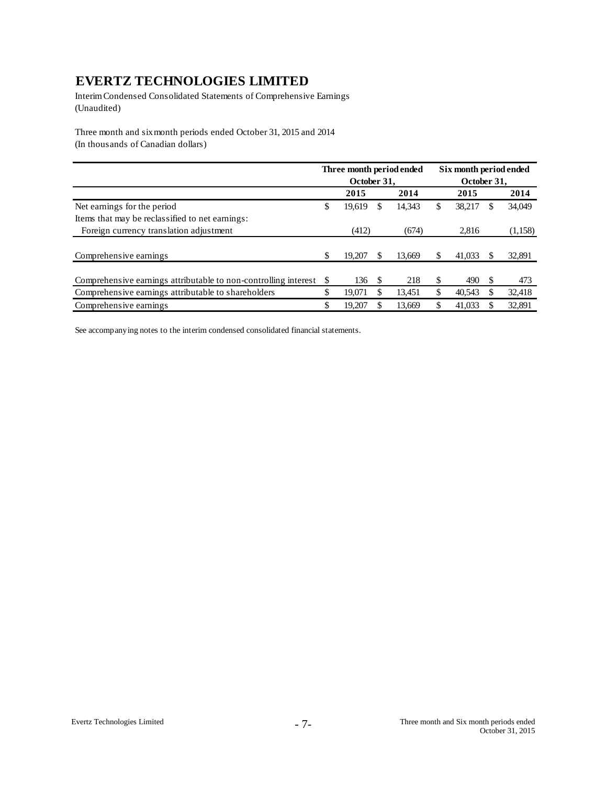Interim Condensed Consolidated Statements of Comprehensive Earnings (Unaudited)

Three month and six month periods ended October 31, 2015 and 2014 (In thousands of Canadian dollars)

|                                                                 |    | October 31. |    | Three month period ended |     | Six month period ended<br>October 31, |   |         |
|-----------------------------------------------------------------|----|-------------|----|--------------------------|-----|---------------------------------------|---|---------|
|                                                                 |    | 2015        |    | 2014                     |     | 2015                                  |   | 2014    |
| Net earnings for the period                                     | S  | 19.619      | S  | 14,343                   | S   | 38.217                                | S | 34,049  |
| Items that may be reclassified to net earnings:                 |    |             |    |                          |     |                                       |   |         |
| Foreign currency translation adjustment                         |    | (412)       |    | (674)                    |     | 2.816                                 |   | (1,158) |
| Comprehensive earnings                                          | S  | 19.207      |    | 13,669                   |     | 41,033                                |   | 32,891  |
|                                                                 |    |             |    |                          |     |                                       |   |         |
| Comprehensive earnings attributable to non-controlling interest | -S | 136         | -S | 218                      | \$. | 490                                   | S | 473     |
| Comprehensive earnings attributable to shareholders             | \$ | 19.071      |    | 13.451                   | \$  | 40.543                                | S | 32,418  |
| Comprehensive earnings                                          |    | 19,207      |    | 13,669                   |     | 41.033                                |   | 32,891  |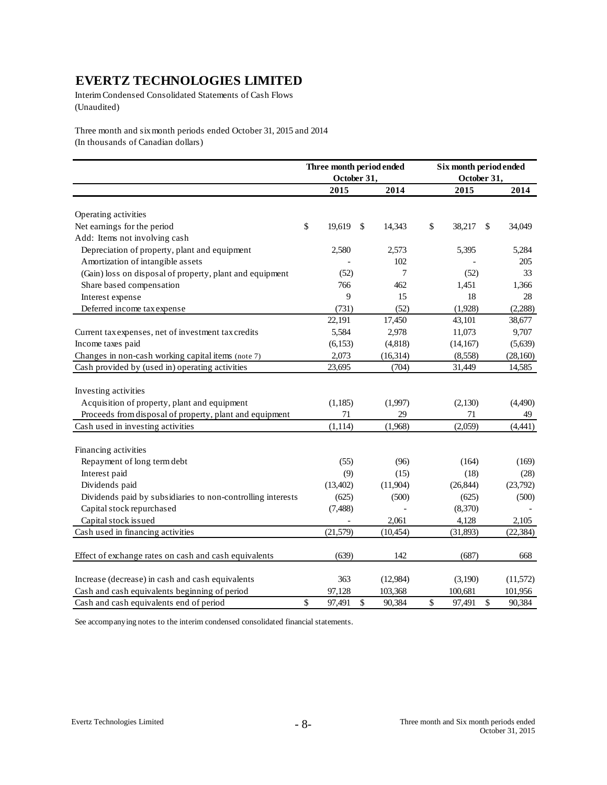Interim Condensed Consolidated Statements of Cash Flows (Unaudited)

Three month and six month periods ended October 31, 2015 and 2014 (In thousands of Canadian dollars)

|                                                             | Three month period ended |               |           | Six month period ended |             |    |           |  |
|-------------------------------------------------------------|--------------------------|---------------|-----------|------------------------|-------------|----|-----------|--|
|                                                             | October 31,              |               |           |                        | October 31, |    |           |  |
|                                                             | 2015                     |               | 2014      |                        | 2015        |    | 2014      |  |
| Operating activities                                        |                          |               |           |                        |             |    |           |  |
| Net earnings for the period                                 | \$<br>19,619             | \$            | 14,343    | \$                     | 38,217      | \$ | 34,049    |  |
| Add: Items not involving cash                               |                          |               |           |                        |             |    |           |  |
| Depreciation of property, plant and equipment               | 2,580                    |               | 2,573     |                        | 5,395       |    | 5,284     |  |
| Amortization of intangible assets                           |                          |               | 102       |                        |             |    | 205       |  |
| (Gain) loss on disposal of property, plant and equipment    | (52)                     |               | 7         |                        | (52)        |    | 33        |  |
| Share based compensation                                    | 766                      |               | 462       |                        | 1,451       |    | 1,366     |  |
| Interest expense                                            | 9                        |               | 15        |                        | 18          |    | 28        |  |
| Deferred income tax expense                                 | (731)                    |               | (52)      |                        | (1,928)     |    | (2, 288)  |  |
|                                                             | 22,191                   |               | 17,450    |                        | 43,101      |    | 38,677    |  |
| Current tax expenses, net of investment tax credits         | 5,584                    |               | 2,978     |                        | 11,073      |    | 9,707     |  |
| Income taxes paid                                           | (6, 153)                 |               | (4,818)   |                        | (14, 167)   |    | (5,639)   |  |
| Changes in non-cash working capital items (note 7)          | 2,073                    |               | (16, 314) |                        | (8,558)     |    | (28, 160) |  |
| Cash provided by (used in) operating activities             | 23,695                   |               | (704)     |                        | 31,449      |    | 14,585    |  |
|                                                             |                          |               |           |                        |             |    |           |  |
| Investing activities                                        |                          |               |           |                        |             |    |           |  |
| Acquisition of property, plant and equipment                | (1, 185)                 |               | (1,997)   |                        | (2,130)     |    | (4,490)   |  |
| Proceeds from disposal of property, plant and equipment     | 71                       |               | 29        |                        | 71          |    | 49        |  |
| Cash used in investing activities                           | (1, 114)                 |               | (1,968)   |                        | (2,059)     |    | (4,441)   |  |
|                                                             |                          |               |           |                        |             |    |           |  |
| Financing activities                                        |                          |               |           |                        |             |    |           |  |
| Repayment of long term debt                                 | (55)                     |               | (96)      |                        | (164)       |    | (169)     |  |
| Interest paid                                               | (9)                      |               | (15)      |                        | (18)        |    | (28)      |  |
| Dividends paid                                              | (13,402)                 |               | (11,904)  |                        | (26, 844)   |    | (23,792)  |  |
| Dividends paid by subsidiaries to non-controlling interests | (625)                    |               | (500)     |                        | (625)       |    | (500)     |  |
| Capital stock repurchased                                   | (7, 488)                 |               |           |                        | (8,370)     |    |           |  |
| Capital stock issued                                        |                          |               | 2.061     |                        | 4,128       |    | 2,105     |  |
| Cash used in financing activities                           | (21, 579)                |               | (10, 454) |                        | (31,893)    |    | (22, 384) |  |
| Effect of exchange rates on cash and cash equivalents       | (639)                    |               | 142       |                        | (687)       |    | 668       |  |
|                                                             |                          |               |           |                        |             |    |           |  |
| Increase (decrease) in cash and cash equivalents            | 363                      |               | (12,984)  |                        | (3,190)     |    | (11,572)  |  |
| Cash and cash equivalents beginning of period               | 97,128                   |               | 103,368   |                        | 100,681     |    | 101,956   |  |
| Cash and cash equivalents end of period                     | \$<br>97,491             | $\mathsf{\$}$ | 90,384    | \$                     | 97,491      | \$ | 90,384    |  |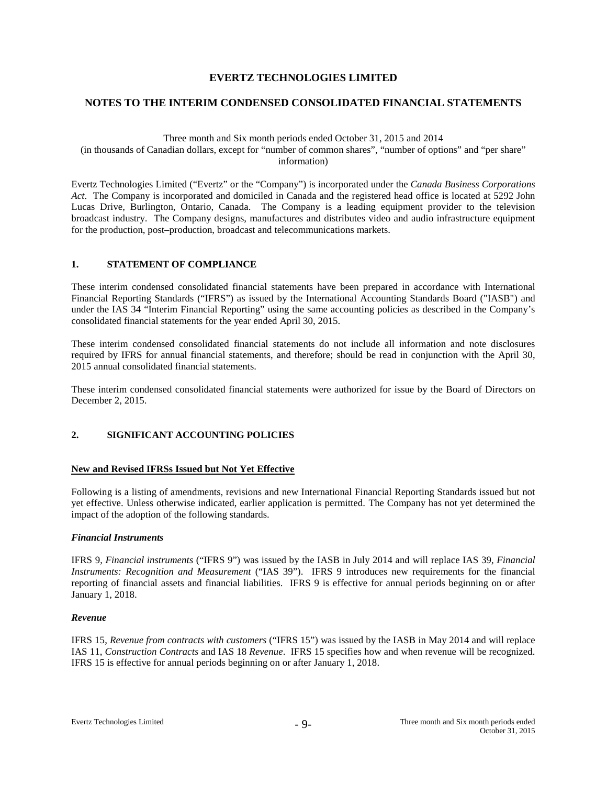### **NOTES TO THE INTERIM CONDENSED CONSOLIDATED FINANCIAL STATEMENTS**

Three month and Six month periods ended October 31, 2015 and 2014 (in thousands of Canadian dollars, except for "number of common shares", "number of options" and "per share" information)

Evertz Technologies Limited ("Evertz" or the "Company") is incorporated under the *Canada Business Corporations Act*. The Company is incorporated and domiciled in Canada and the registered head office is located at 5292 John Lucas Drive, Burlington, Ontario, Canada. The Company is a leading equipment provider to the television broadcast industry. The Company designs, manufactures and distributes video and audio infrastructure equipment for the production, post–production, broadcast and telecommunications markets.

### **1. STATEMENT OF COMPLIANCE**

These interim condensed consolidated financial statements have been prepared in accordance with International Financial Reporting Standards ("IFRS") as issued by the International Accounting Standards Board ("IASB") and under the IAS 34 "Interim Financial Reporting" using the same accounting policies as described in the Company's consolidated financial statements for the year ended April 30, 2015.

These interim condensed consolidated financial statements do not include all information and note disclosures required by IFRS for annual financial statements, and therefore; should be read in conjunction with the April 30, 2015 annual consolidated financial statements.

These interim condensed consolidated financial statements were authorized for issue by the Board of Directors on December 2, 2015.

### **2. SIGNIFICANT ACCOUNTING POLICIES**

#### **New and Revised IFRSs Issued but Not Yet Effective**

Following is a listing of amendments, revisions and new International Financial Reporting Standards issued but not yet effective. Unless otherwise indicated, earlier application is permitted. The Company has not yet determined the impact of the adoption of the following standards.

#### *Financial Instruments*

IFRS 9, *Financial instruments* ("IFRS 9") was issued by the IASB in July 2014 and will replace IAS 39, *Financial Instruments: Recognition and Measurement* ("IAS 39"). IFRS 9 introduces new requirements for the financial reporting of financial assets and financial liabilities. IFRS 9 is effective for annual periods beginning on or after January 1, 2018.

#### *Revenue*

IFRS 15, *Revenue from contracts with customers* ("IFRS 15") was issued by the IASB in May 2014 and will replace IAS 11, *Construction Contracts* and IAS 18 *Revenue*. IFRS 15 specifies how and when revenue will be recognized. IFRS 15 is effective for annual periods beginning on or after January 1, 2018.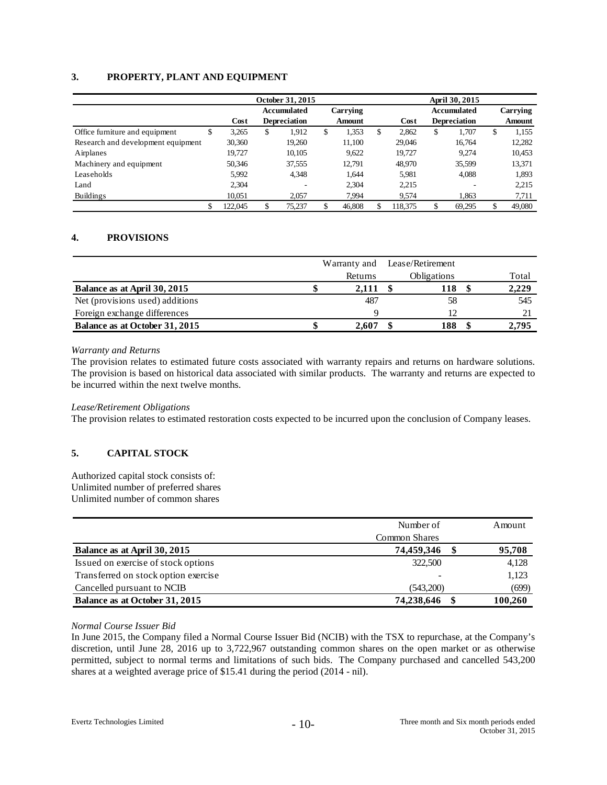### **3. PROPERTY, PLANT AND EQUIPMENT**

|                                    |    | October 31, 2015 |    |                     |   |               |   | April 30, 2015 |    |                     |    |          |  |
|------------------------------------|----|------------------|----|---------------------|---|---------------|---|----------------|----|---------------------|----|----------|--|
|                                    |    |                  |    | <b>Accumulated</b>  |   | Carrying      |   |                |    | <b>Accumulated</b>  |    | Carrying |  |
|                                    |    | Cost             |    | <b>Depreciation</b> |   | <b>Amount</b> |   | Cost           |    | <b>Depreciation</b> |    | Amount   |  |
| Office furniture and equipment     | J  | 3,265            | \$ | 1,912               | S | 1,353         | S | 2.862          | \$ | 1.707               | \$ | 1,155    |  |
| Research and development equipment |    | 30,360           |    | 19,260              |   | 11,100        |   | 29,046         |    | 16.764              |    | 12,282   |  |
| Airplanes                          |    | 19.727           |    | 10,105              |   | 9,622         |   | 19,727         |    | 9.274               |    | 10,453   |  |
| Machinery and equipment            |    | 50,346           |    | 37,555              |   | 12,791        |   | 48.970         |    | 35,599              |    | 13,371   |  |
| Leaseholds                         |    | 5.992            |    | 4,348               |   | 1.644         |   | 5,981          |    | 4.088               |    | 1,893    |  |
| Land                               |    | 2,304            |    |                     |   | 2,304         |   | 2,215          |    | -                   |    | 2,215    |  |
| <b>Buildings</b>                   |    | 10.051           |    | 2.057               |   | 7.994         |   | 9.574          |    | 1.863               |    | 7,711    |  |
|                                    | \$ | 122,045          |    | 75,237              |   | 46,808        |   | 118.375        | \$ | 69,295              | \$ | 49,080   |  |

### **4. PROVISIONS**

|                                 | Warranty and Lease/Retirement |         |  |                    |       |
|---------------------------------|-------------------------------|---------|--|--------------------|-------|
|                                 |                               | Returns |  | <b>Obligations</b> | Total |
| Balance as at April 30, 2015    |                               | 2,111   |  | 118                | 2,229 |
| Net (provisions used) additions |                               | 487     |  | 58                 | 545   |
| Foreign exchange differences    |                               | Q       |  |                    |       |
| Balance as at October 31, 2015  |                               | 2.607   |  | 188                | 2,795 |

#### *Warranty and Returns*

The provision relates to estimated future costs associated with warranty repairs and returns on hardware solutions. The provision is based on historical data associated with similar products. The warranty and returns are expected to be incurred within the next twelve months.

#### *Lease/Retirement Obligations*

The provision relates to estimated restoration costs expected to be incurred upon the conclusion of Company leases.

## **5. CAPITAL STOCK**

Authorized capital stock consists of: Unlimited number of preferred shares Unlimited number of common shares

|                                      | Number of     | Amount  |
|--------------------------------------|---------------|---------|
|                                      | Common Shares |         |
| Balance as at April 30, 2015         | 74,459,346    | 95,708  |
| Issued on exercise of stock options  | 322,500       | 4,128   |
| Transferred on stock option exercise | -             | 1,123   |
| Cancelled pursuant to NCIB           | (543,200)     | (699)   |
| Balance as at October 31, 2015       | 74,238,646    | 100,260 |

#### *Normal Course Issuer Bid*

In June 2015, the Company filed a Normal Course Issuer Bid (NCIB) with the TSX to repurchase, at the Company's discretion, until June 28, 2016 up to 3,722,967 outstanding common shares on the open market or as otherwise permitted, subject to normal terms and limitations of such bids. The Company purchased and cancelled 543,200 shares at a weighted average price of \$15.41 during the period (2014 - nil).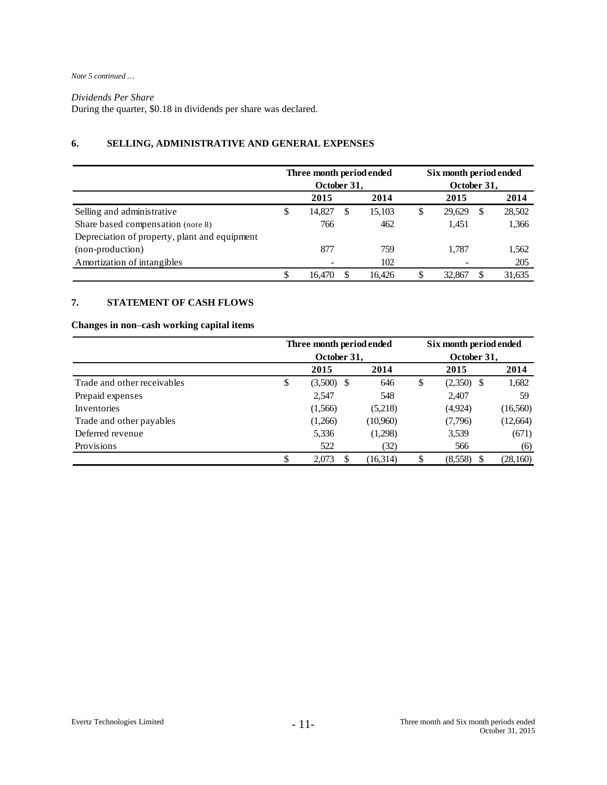*Note 5 continued …*

*Dividends Per Share* During the quarter, \$0.18 in dividends per share was declared.

# **6. SELLING, ADMINISTRATIVE AND GENERAL EXPENSES**

|                                               | Three month period ended<br>October 31, |    | Six month period ended<br>October 31, |    |        |   |        |
|-----------------------------------------------|-----------------------------------------|----|---------------------------------------|----|--------|---|--------|
|                                               | 2015                                    |    | 2014                                  |    | 2015   |   | 2014   |
| Selling and administrative                    | \$<br>14,827                            | \$ | 15,103                                | \$ | 29,629 | S | 28,502 |
| Share based compensation (note 8)             | 766                                     |    | 462                                   |    | 1.451  |   | 1,366  |
| Depreciation of property, plant and equipment |                                         |    |                                       |    |        |   |        |
| (non-production)                              | 877                                     |    | 759                                   |    | 1.787  |   | 1,562  |
| Amortization of intangibles                   |                                         |    | 102                                   |    |        |   | 205    |
|                                               | \$<br>16.470                            |    | 16.426                                |    | 32,867 |   | 31,635 |

# **7. STATEMENT OF CASH FLOWS**

**Changes in non**–**cash working capital items**

|                             | Three month period ended<br>October 31, |          |    | Six month period ended |           |
|-----------------------------|-----------------------------------------|----------|----|------------------------|-----------|
|                             | 2015                                    | 2014     |    | October 31,<br>2015    | 2014      |
| Trade and other receivables | \$<br>(3,500)<br>-S                     | 646      | \$ | $(2,350)$ \$           | 1,682     |
| Prepaid expenses            | 2,547                                   | 548      |    | 2,407                  | 59        |
| <b>Inventories</b>          | (1,566)                                 | (5,218)  |    | (4,924)                | (16, 560) |
| Trade and other payables    | (1,266)                                 | (10,960) |    | (7,796)                | (12, 664) |
| Deferred revenue            | 5,336                                   | (1,298)  |    | 3,539                  | (671)     |
| Provisions                  | 522                                     | (32)     |    | 566                    | (6)       |
|                             | 2.073                                   | (16,314) | S  | (8,558)                | (28,160)  |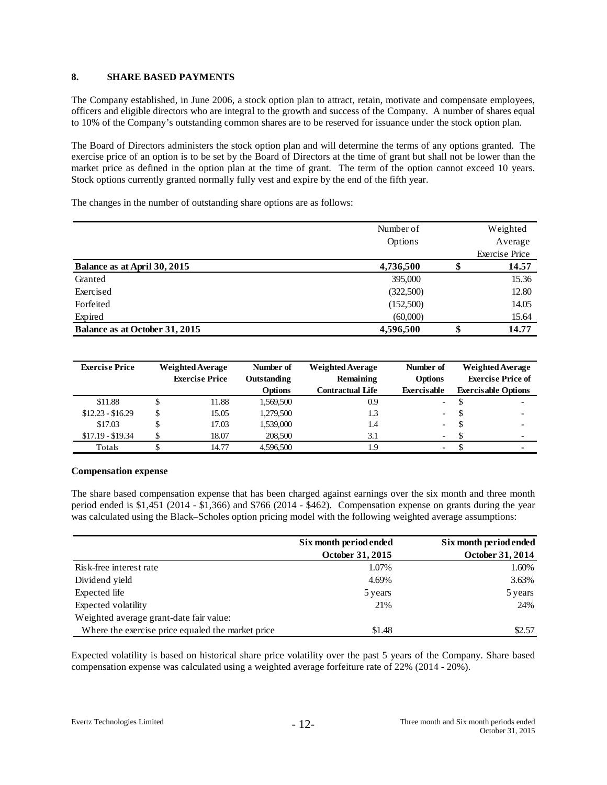#### **8. SHARE BASED PAYMENTS**

The Company established, in June 2006, a stock option plan to attract, retain, motivate and compensate employees, officers and eligible directors who are integral to the growth and success of the Company. A number of shares equal to 10% of the Company's outstanding common shares are to be reserved for issuance under the stock option plan.

The Board of Directors administers the stock option plan and will determine the terms of any options granted. The exercise price of an option is to be set by the Board of Directors at the time of grant but shall not be lower than the market price as defined in the option plan at the time of grant. The term of the option cannot exceed 10 years. Stock options currently granted normally fully vest and expire by the end of the fifth year.

The changes in the number of outstanding share options are as follows:

|                                | Number of |    | Weighted              |
|--------------------------------|-----------|----|-----------------------|
|                                | Options   |    | Average               |
|                                |           |    | <b>Exercise Price</b> |
| Balance as at April 30, 2015   | 4,736,500 | Φ  | 14.57                 |
| Granted                        | 395,000   |    | 15.36                 |
| Exercised                      | (322,500) |    | 12.80                 |
| Forfeited                      | (152,500) |    | 14.05                 |
| Expired                        | (60,000)  |    | 15.64                 |
| Balance as at October 31, 2015 | 4,596,500 | \$ | 14.77                 |

| <b>Exercise Price</b> | <b>Weighted Average</b><br><b>Exercise Price</b> |       | Number of<br>Outstanding | <b>Weighted Average</b><br>Remaining | Number of<br><b>Options</b> | <b>Weighted Average</b><br><b>Exercise Price of</b> |                            |
|-----------------------|--------------------------------------------------|-------|--------------------------|--------------------------------------|-----------------------------|-----------------------------------------------------|----------------------------|
|                       |                                                  |       | <b>Options</b>           | <b>Contractual Life</b>              | Exercisable                 |                                                     | <b>Exercisable Options</b> |
| \$11.88               |                                                  | 11.88 | 1,569,500                | 0.9                                  |                             |                                                     |                            |
| $$12.23 - $16.29$     |                                                  | 15.05 | 1,279,500                | 1.3                                  | $\overline{\phantom{0}}$    | S                                                   | -                          |
| \$17.03               |                                                  | 17.03 | 1,539,000                | 1.4                                  | $\overline{\phantom{a}}$    | S                                                   |                            |
| $$17.19 - $19.34$     |                                                  | 18.07 | 208,500                  | 3.1                                  | $\overline{\phantom{0}}$    |                                                     | -                          |
| Totals                |                                                  | 14.77 | 4,596,500                | 1.9                                  | $\overline{\phantom{0}}$    |                                                     |                            |

### **Compensation expense**

The share based compensation expense that has been charged against earnings over the six month and three month period ended is \$1,451 (2014 - \$1,366) and \$766 (2014 - \$462). Compensation expense on grants during the year was calculated using the Black–Scholes option pricing model with the following weighted average assumptions:

|                                                   | Six month period ended | Six month period ended |
|---------------------------------------------------|------------------------|------------------------|
|                                                   | October 31, 2015       | October 31, 2014       |
| Risk-free interest rate                           | 1.07%                  | 1.60%                  |
| Dividend yield                                    | 4.69%                  | 3.63%                  |
| Expected life                                     | 5 years                | 5 years                |
| Expected volatility                               | 21%                    | 24%                    |
| Weighted average grant-date fair value:           |                        |                        |
| Where the exercise price equaled the market price | \$1.48                 | \$2.57                 |

Expected volatility is based on historical share price volatility over the past 5 years of the Company. Share based compensation expense was calculated using a weighted average forfeiture rate of 22% (2014 - 20%).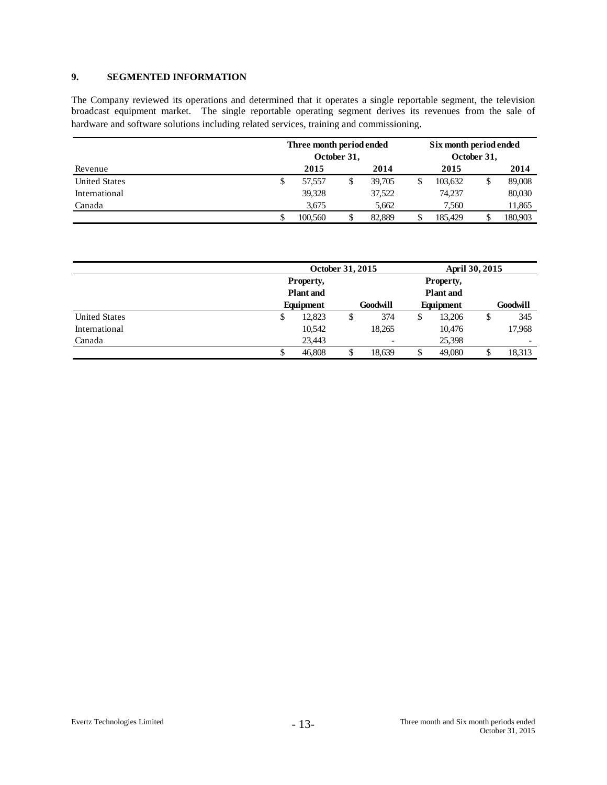### **9. SEGMENTED INFORMATION**

The Company reviewed its operations and determined that it operates a single reportable segment, the television broadcast equipment market. The single reportable operating segment derives its revenues from the sale of hardware and software solutions including related services, training and commissioning.

|                      | Three month period ended<br>October 31, |         |    |        | Six month period ended<br>October 31, |         |  |         |
|----------------------|-----------------------------------------|---------|----|--------|---------------------------------------|---------|--|---------|
| Revenue              |                                         | 2015    |    | 2014   |                                       | 2015    |  | 2014    |
| <b>United States</b> | S                                       | 57.557  | \$ | 39,705 | S                                     | 103.632 |  | 89,008  |
| International        |                                         | 39,328  |    | 37,522 |                                       | 74.237  |  | 80,030  |
| Canada               |                                         | 3.675   |    | 5.662  |                                       | 7.560   |  | 11,865  |
|                      | \$                                      | 100.560 |    | 82.889 |                                       | 185.429 |  | 180.903 |

|                      | October 31, 2015              |           |          |                          | April 30, 2015 |                               |          |                          |
|----------------------|-------------------------------|-----------|----------|--------------------------|----------------|-------------------------------|----------|--------------------------|
|                      |                               | Property, |          |                          |                | Property,<br><b>Plant</b> and |          |                          |
|                      | <b>Plant</b> and<br>Equipment |           | Goodwill |                          | Equipment      |                               | Goodwill |                          |
| <b>United States</b> | \$                            | 12,823    | ¢<br>Φ   | 374                      | \$             | 13,206                        | D        | 345                      |
| International        |                               | 10,542    |          | 18,265                   |                | 10.476                        |          | 17,968                   |
| Canada               |                               | 23.443    |          | $\overline{\phantom{a}}$ |                | 25,398                        |          | $\overline{\phantom{a}}$ |
|                      |                               | 46.808    |          | 18,639                   |                | 49,080                        |          | 18,313                   |